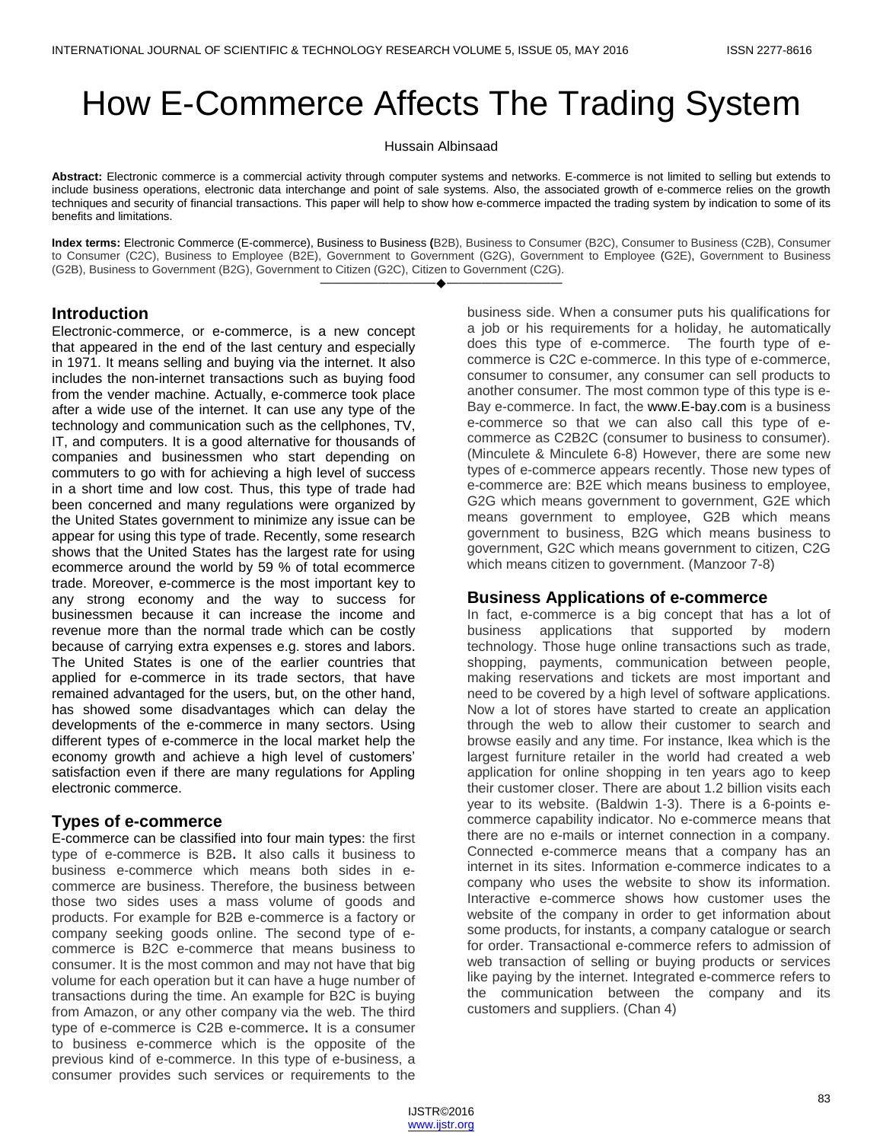# How E-Commerce Affects The Trading System

Hussain Albinsaad

**Abstract:** Electronic commerce is a commercial activity through computer systems and networks. E-commerce is not limited to selling but extends to include business operations, electronic data interchange and point of sale systems. Also, the associated growth of e-commerce relies on the growth techniques and security of financial transactions. This paper will help to show how e-commerce impacted the trading system by indication to some of its benefits and limitations.

**Index terms:** Electronic Commerce (E-commerce), Business to Business **(**B2B), Business to Consumer (B2C), Consumer to Business (C2B), Consumer to Consumer (C2C), Business to Employee (B2E), Government to Government (G2G), Government to Employee (G2E), Government to Business (G2B), Business to Government (B2G), Government to Citizen (G2C), Citizen to Government (C2G). ————————————————————

### **Introduction**

Electronic-commerce, or e-commerce, is a new concept that appeared in the end of the last century and especially in 1971. It means selling and buying via the internet. It also includes the non-internet transactions such as buying food from the vender machine. Actually, e-commerce took place after a wide use of the internet. It can use any type of the technology and communication such as the cellphones, TV, IT, and computers. It is a good alternative for thousands of companies and businessmen who start depending on commuters to go with for achieving a high level of success in a short time and low cost. Thus, this type of trade had been concerned and many regulations were organized by the United States government to minimize any issue can be appear for using this type of trade. Recently, some research shows that the United States has the largest rate for using ecommerce around the world by 59 % of total ecommerce trade. Moreover, e-commerce is the most important key to any strong economy and the way to success for businessmen because it can increase the income and revenue more than the normal trade which can be costly because of carrying extra expenses e.g. stores and labors. The United States is one of the earlier countries that applied for e-commerce in its trade sectors, that have remained advantaged for the users, but, on the other hand, has showed some disadvantages which can delay the developments of the e-commerce in many sectors. Using different types of e-commerce in the local market help the economy growth and achieve a high level of customers' satisfaction even if there are many regulations for Appling electronic commerce.

#### **Types of e-commerce**

E-commerce can be classified into four main types: the first type of e-commerce is B2B**.** It also calls it business to business e-commerce which means both sides in ecommerce are business. Therefore, the business between those two sides uses a mass volume of goods and products. For example for B2B e-commerce is a factory or company seeking goods online. The second type of ecommerce is B2C e-commerce that means business to consumer. It is the most common and may not have that big volume for each operation but it can have a huge number of transactions during the time. An example for B2C is buying from Amazon, or any other company via the web. The third type of e-commerce is C2B e-commerce**.** It is a consumer to business e-commerce which is the opposite of the previous kind of e-commerce. In this type of e-business, a consumer provides such services or requirements to the business side. When a consumer puts his qualifications for a job or his requirements for a holiday, he automatically does this type of e-commerce. The fourth type of ecommerce is C2C e-commerce. In this type of e-commerce, consumer to consumer, any consumer can sell products to another consumer. The most common type of this type is e-Bay e-commerce. In fact, the www.E-bay.com is a business e-commerce so that we can also call this type of ecommerce as C2B2C (consumer to business to consumer). (Minculete & Minculete 6-8) However, there are some new types of e-commerce appears recently. Those new types of e-commerce are: B2E which means business to employee, G2G which means government to government, G2E which means government to employee, G2B which means government to business, B2G which means business to government, G2C which means government to citizen, C2G which means citizen to government. (Manzoor 7-8)

#### **Business Applications of e-commerce**

In fact, e-commerce is a big concept that has a lot of business applications that supported by modern technology. Those huge online transactions such as trade, shopping, payments, communication between people, making reservations and tickets are most important and need to be covered by a high level of software applications. Now a lot of stores have started to create an application through the web to allow their customer to search and browse easily and any time. For instance, Ikea which is the largest furniture retailer in the world had created a web application for online shopping in ten years ago to keep their customer closer. There are about 1.2 billion visits each year to its website. (Baldwin 1-3). There is a 6-points ecommerce capability indicator. No e-commerce means that there are no e-mails or internet connection in a company. Connected e-commerce means that a company has an internet in its sites. Information e-commerce indicates to a company who uses the website to show its information. Interactive e-commerce shows how customer uses the website of the company in order to get information about some products, for instants, a company catalogue or search for order. Transactional e-commerce refers to admission of web transaction of selling or buying products or services like paying by the internet. Integrated e-commerce refers to the communication between the company and its customers and suppliers. (Chan 4)

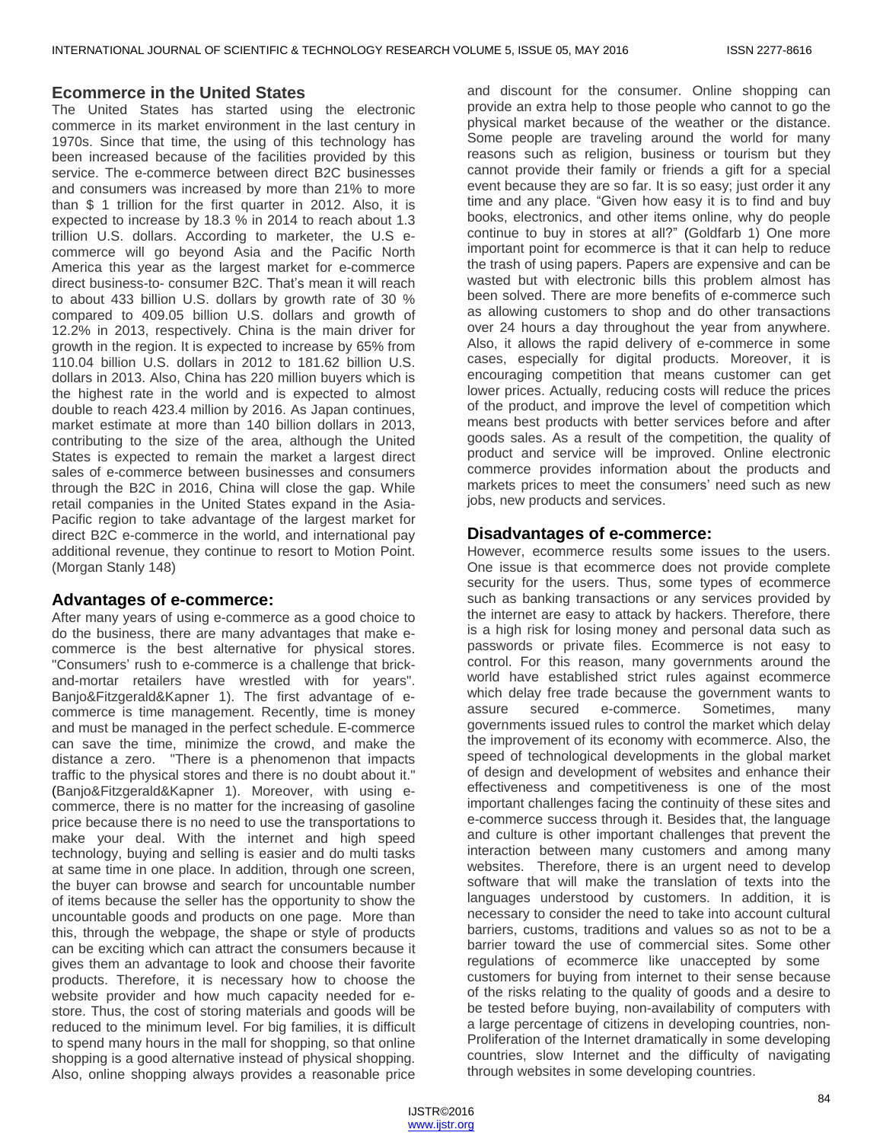#### **Ecommerce in the United States**

The United States has started using the electronic commerce in its market environment in the last century in 1970s. Since that time, the using of this technology has been increased because of the facilities provided by this service. The e-commerce between direct B2C businesses and consumers was increased by more than 21% to more than \$ 1 trillion for the first quarter in 2012. Also, it is expected to increase by 18.3 % in 2014 to reach about 1.3 trillion U.S. dollars. According to marketer, the U.S ecommerce will go beyond Asia and the Pacific North America this year as the largest market for e-commerce direct business-to- consumer B2C. That's mean it will reach to about 433 billion U.S. dollars by growth rate of 30 % compared to 409.05 billion U.S. dollars and growth of 12.2% in 2013, respectively. China is the main driver for growth in the region. It is expected to increase by 65% from 110.04 billion U.S. dollars in 2012 to 181.62 billion U.S. dollars in 2013. Also, China has 220 million buyers which is the highest rate in the world and is expected to almost double to reach 423.4 million by 2016. As Japan continues, market estimate at more than 140 billion dollars in 2013, contributing to the size of the area, although the United States is expected to remain the market a largest direct sales of e-commerce between businesses and consumers through the B2C in 2016, China will close the gap. While retail companies in the United States expand in the Asia-Pacific region to take advantage of the largest market for direct B2C e-commerce in the world, and international pay additional revenue, they continue to resort to Motion Point. (Morgan Stanly 148)

#### **Advantages of e-commerce:**

After many years of using e-commerce as a good choice to do the business, there are many advantages that make ecommerce is the best alternative for physical stores. "Consumers' rush to e-commerce is a challenge that brickand-mortar retailers have wrestled with for years". Banjo&Fitzgerald&Kapner 1). The first advantage of ecommerce is time management. Recently, time is money and must be managed in the perfect schedule. E-commerce can save the time, minimize the crowd, and make the distance a zero. "There is a phenomenon that impacts traffic to the physical stores and there is no doubt about it." (Banjo&Fitzgerald&Kapner 1). Moreover, with using ecommerce, there is no matter for the increasing of gasoline price because there is no need to use the transportations to make your deal. With the internet and high speed technology, buying and selling is easier and do multi tasks at same time in one place. In addition, through one screen, the buyer can browse and search for uncountable number of items because the seller has the opportunity to show the uncountable goods and products on one page. More than this, through the webpage, the shape or style of products can be exciting which can attract the consumers because it gives them an advantage to look and choose their favorite products. Therefore, it is necessary how to choose the website provider and how much capacity needed for estore. Thus, the cost of storing materials and goods will be reduced to the minimum level. For big families, it is difficult to spend many hours in the mall for shopping, so that online shopping is a good alternative instead of physical shopping. Also, online shopping always provides a reasonable price

and discount for the consumer. Online shopping can provide an extra help to those people who cannot to go the physical market because of the weather or the distance. Some people are traveling around the world for many reasons such as religion, business or tourism but they cannot provide their family or friends a gift for a special event because they are so far. It is so easy; just order it any time and any place. "Given how easy it is to find and buy books, electronics, and other items online, why do people continue to buy in stores at all?" (Goldfarb 1) One more important point for ecommerce is that it can help to reduce the trash of using papers. Papers are expensive and can be wasted but with electronic bills this problem almost has been solved. There are more benefits of e-commerce such as allowing customers to shop and do other transactions over 24 hours a day throughout the year from anywhere. Also, it allows the rapid delivery of e-commerce in some cases, especially for digital products. Moreover, it is encouraging competition that means customer can get lower prices. Actually, reducing costs will reduce the prices of the product, and improve the level of competition which means best products with better services before and after goods sales. As a result of the competition, the quality of product and service will be improved. Online electronic commerce provides information about the products and markets prices to meet the consumers' need such as new jobs, new products and services.

## **Disadvantages of e-commerce:**

However, ecommerce results some issues to the users. One issue is that ecommerce does not provide complete security for the users. Thus, some types of ecommerce such as banking transactions or any services provided by the internet are easy to attack by hackers. Therefore, there is a high risk for losing money and personal data such as passwords or private files. Ecommerce is not easy to control. For this reason, many governments around the world have established strict rules against ecommerce which delay free trade because the government wants to assure secured e-commerce. Sometimes, many governments issued rules to control the market which delay the improvement of its economy with ecommerce. Also, the speed of technological developments in the global market of design and development of websites and enhance their effectiveness and competitiveness is one of the most important challenges facing the continuity of these sites and e-commerce success through it. Besides that, the language and culture is other important challenges that prevent the interaction between many customers and among many websites. Therefore, there is an urgent need to develop software that will make the translation of texts into the languages understood by customers. In addition, it is necessary to consider the need to take into account cultural barriers, customs, traditions and values so as not to be a barrier toward the use of commercial sites. Some other regulations of ecommerce like unaccepted by some customers for buying from internet to their sense because of the risks relating to the quality of goods and a desire to be tested before buying, non-availability of computers with a large percentage of citizens in developing countries, non-Proliferation of the Internet dramatically in some developing countries, slow Internet and the difficulty of navigating through websites in some developing countries.